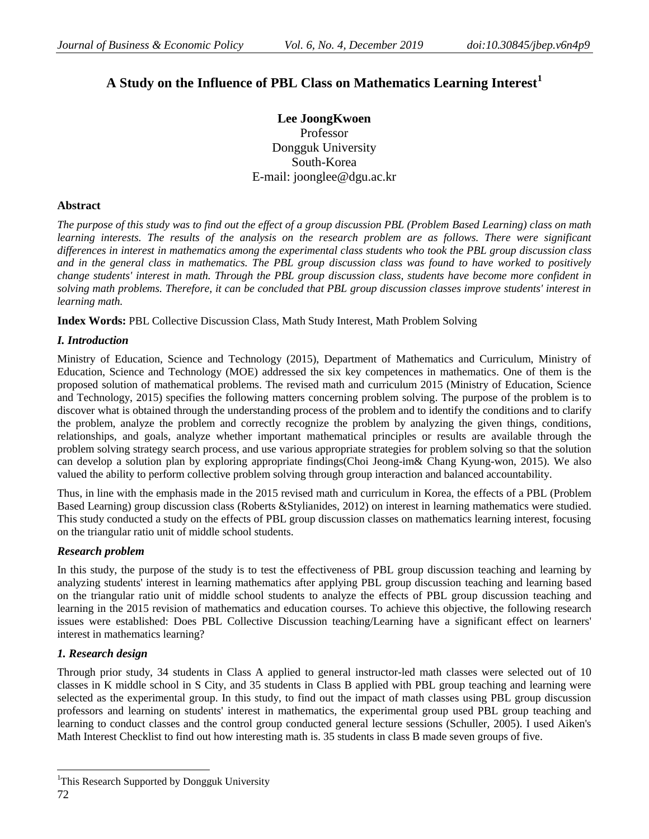# **A Study on the Influence of PBL Class on Mathematics Learning Interest<sup>1</sup>**

**Lee JoongKwoen** Professor Dongguk University South-Korea E-mail: joonglee@dgu.ac.kr

# **Abstract**

*The purpose of this study was to find out the effect of a group discussion PBL (Problem Based Learning) class on math*  learning interests. The results of the analysis on the research problem are as follows. There were significant *differences in interest in mathematics among the experimental class students who took the PBL group discussion class and in the general class in mathematics. The PBL group discussion class was found to have worked to positively change students' interest in math. Through the PBL group discussion class, students have become more confident in solving math problems. Therefore, it can be concluded that PBL group discussion classes improve students' interest in learning math.*

**Index Words:** PBL Collective Discussion Class, Math Study Interest, Math Problem Solving

# *I. Introduction*

Ministry of Education, Science and Technology (2015), Department of Mathematics and Curriculum, Ministry of Education, Science and Technology (MOE) addressed the six key competences in mathematics. One of them is the proposed solution of mathematical problems. The revised math and curriculum 2015 (Ministry of Education, Science and Technology, 2015) specifies the following matters concerning problem solving. The purpose of the problem is to discover what is obtained through the understanding process of the problem and to identify the conditions and to clarify the problem, analyze the problem and correctly recognize the problem by analyzing the given things, conditions, relationships, and goals, analyze whether important mathematical principles or results are available through the problem solving strategy search process, and use various appropriate strategies for problem solving so that the solution can develop a solution plan by exploring appropriate findings(Choi Jeong-im& Chang Kyung-won, 2015). We also valued the ability to perform collective problem solving through group interaction and balanced accountability.

Thus, in line with the emphasis made in the 2015 revised math and curriculum in Korea, the effects of a PBL (Problem Based Learning) group discussion class (Roberts &Stylianides, 2012) on interest in learning mathematics were studied. This study conducted a study on the effects of PBL group discussion classes on mathematics learning interest, focusing on the triangular ratio unit of middle school students.

# *Research problem*

In this study, the purpose of the study is to test the effectiveness of PBL group discussion teaching and learning by analyzing students' interest in learning mathematics after applying PBL group discussion teaching and learning based on the triangular ratio unit of middle school students to analyze the effects of PBL group discussion teaching and learning in the 2015 revision of mathematics and education courses. To achieve this objective, the following research issues were established: Does PBL Collective Discussion teaching/Learning have a significant effect on learners' interest in mathematics learning?

# *1. Research design*

Through prior study, 34 students in Class A applied to general instructor-led math classes were selected out of 10 classes in K middle school in S City, and 35 students in Class B applied with PBL group teaching and learning were selected as the experimental group. In this study, to find out the impact of math classes using PBL group discussion professors and learning on students' interest in mathematics, the experimental group used PBL group teaching and learning to conduct classes and the control group conducted general lecture sessions (Schuller, 2005). I used Aiken's Math Interest Checklist to find out how interesting math is. 35 students in class B made seven groups of five.

 $\overline{a}$ 

<sup>&</sup>lt;sup>1</sup>This Research Supported by Dongguk University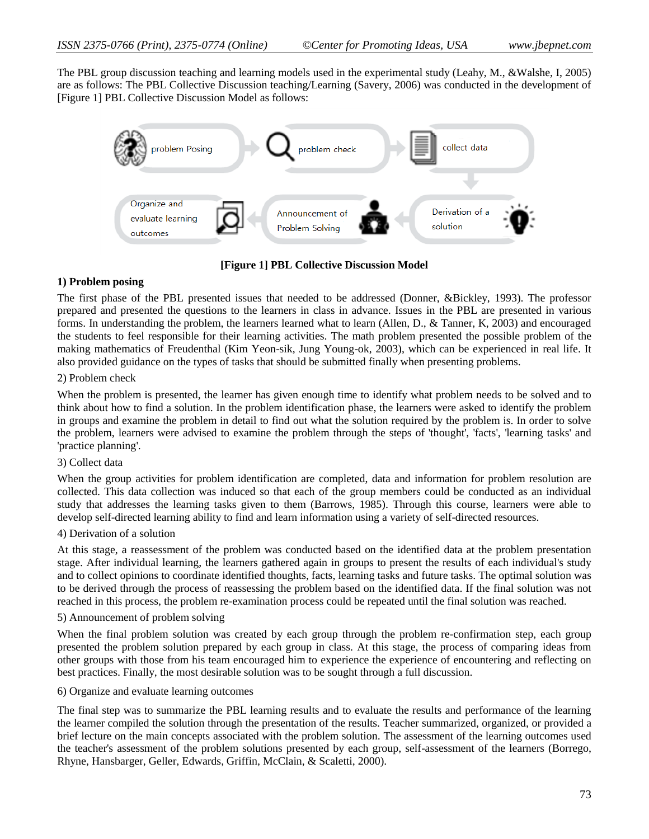The PBL group discussion teaching and learning models used in the experimental study (Leahy, M., &Walshe, I, 2005) are as follows: The PBL Collective Discussion teaching/Learning (Savery, 2006) was conducted in the development of [Figure 1] PBL Collective Discussion Model as follows:



**[Figure 1] PBL Collective Discussion Model**

### **1) Problem posing**

The first phase of the PBL presented issues that needed to be addressed (Donner, &Bickley, 1993). The professor prepared and presented the questions to the learners in class in advance. Issues in the PBL are presented in various forms. In understanding the problem, the learners learned what to learn (Allen, D., & Tanner, K, 2003) and encouraged the students to feel responsible for their learning activities. The math problem presented the possible problem of the making mathematics of Freudenthal (Kim Yeon-sik, Jung Young-ok, 2003), which can be experienced in real life. It also provided guidance on the types of tasks that should be submitted finally when presenting problems.

### 2) Problem check

When the problem is presented, the learner has given enough time to identify what problem needs to be solved and to think about how to find a solution. In the problem identification phase, the learners were asked to identify the problem in groups and examine the problem in detail to find out what the solution required by the problem is. In order to solve the problem, learners were advised to examine the problem through the steps of 'thought', 'facts', 'learning tasks' and 'practice planning'.

#### 3) Collect data

When the group activities for problem identification are completed, data and information for problem resolution are collected. This data collection was induced so that each of the group members could be conducted as an individual study that addresses the learning tasks given to them (Barrows, 1985). Through this course, learners were able to develop self-directed learning ability to find and learn information using a variety of self-directed resources.

#### 4) Derivation of a solution

At this stage, a reassessment of the problem was conducted based on the identified data at the problem presentation stage. After individual learning, the learners gathered again in groups to present the results of each individual's study and to collect opinions to coordinate identified thoughts, facts, learning tasks and future tasks. The optimal solution was to be derived through the process of reassessing the problem based on the identified data. If the final solution was not reached in this process, the problem re-examination process could be repeated until the final solution was reached.

### 5) Announcement of problem solving

When the final problem solution was created by each group through the problem re-confirmation step, each group presented the problem solution prepared by each group in class. At this stage, the process of comparing ideas from other groups with those from his team encouraged him to experience the experience of encountering and reflecting on best practices. Finally, the most desirable solution was to be sought through a full discussion.

6) Organize and evaluate learning outcomes

The final step was to summarize the PBL learning results and to evaluate the results and performance of the learning the learner compiled the solution through the presentation of the results. Teacher summarized, organized, or provided a brief lecture on the main concepts associated with the problem solution. The assessment of the learning outcomes used the teacher's assessment of the problem solutions presented by each group, self-assessment of the learners (Borrego, Rhyne, Hansbarger, Geller, Edwards, Griffin, McClain, & Scaletti, 2000).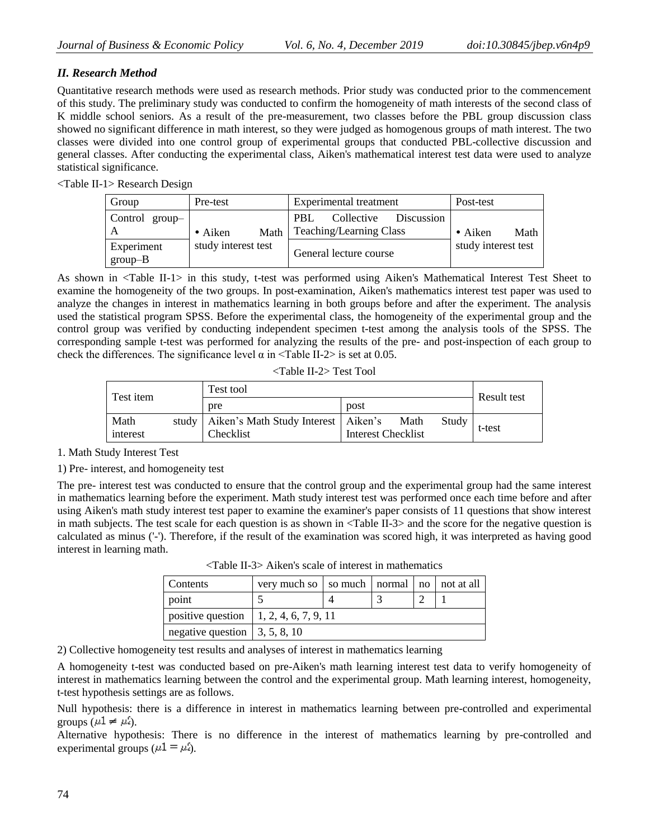# *II. Research Method*

Quantitative research methods were used as research methods. Prior study was conducted prior to the commencement of this study. The preliminary study was conducted to confirm the homogeneity of math interests of the second class of K middle school seniors. As a result of the pre-measurement, two classes before the PBL group discussion class showed no significant difference in math interest, so they were judged as homogenous groups of math interest. The two classes were divided into one control group of experimental groups that conducted PBL-collective discussion and general classes. After conducting the experimental class, Aiken's mathematical interest test data were used to analyze statistical significance.

<Table II-1> Research Design

| Group                        | Pre-test                | Experimental treatment                                      | Post-test               |
|------------------------------|-------------------------|-------------------------------------------------------------|-------------------------|
| Control group- $\frac{1}{2}$ | Math<br>$\bullet$ Aiken | Collective<br>PBL.<br>Discussion<br>Teaching/Learning Class | $\bullet$ Aiken<br>Math |
| Experiment<br>$group-B$      | study interest test     | General lecture course                                      | study interest test     |

As shown in <Table II-1> in this study, t-test was performed using Aiken's Mathematical Interest Test Sheet to examine the homogeneity of the two groups. In post-examination, Aiken's mathematics interest test paper was used to analyze the changes in interest in mathematics learning in both groups before and after the experiment. The analysis used the statistical program SPSS. Before the experimental class, the homogeneity of the experimental group and the control group was verified by conducting independent specimen t-test among the analysis tools of the SPSS. The corresponding sample t-test was performed for analyzing the results of the pre- and post-inspection of each group to check the differences. The significance level  $\alpha$  in  $\langle \text{Table II-2}\rangle$  is set at 0.05.

| Test item        |       | Test tool                                          | Result test                       |       |        |
|------------------|-------|----------------------------------------------------|-----------------------------------|-------|--------|
|                  |       | pre                                                | post                              |       |        |
| Math<br>interest | study | Aiken's Math Study Interest   Aiken's<br>Checklist | Math<br><b>Interest Checklist</b> | Study | t-test |

1. Math Study Interest Test

1) Pre- interest, and homogeneity test

The pre- interest test was conducted to ensure that the control group and the experimental group had the same interest in mathematics learning before the experiment. Math study interest test was performed once each time before and after using Aiken's math study interest test paper to examine the examiner's paper consists of 11 questions that show interest in math subjects. The test scale for each question is as shown in <Table II-3> and the score for the negative question is calculated as minus ('-'). Therefore, if the result of the examination was scored high, it was interpreted as having good interest in learning math.

| Contents                                      | very much so   so much   normal   no   not at all |  |  |  |  |  |
|-----------------------------------------------|---------------------------------------------------|--|--|--|--|--|
| point                                         |                                                   |  |  |  |  |  |
| positive question   1, 2, 4, 6, 7, 9, 11      |                                                   |  |  |  |  |  |
| negative question $\vert 3, 5, 8, 10 \rangle$ |                                                   |  |  |  |  |  |

<Table II-3> Aiken's scale of interest in mathematics

2) Collective homogeneity test results and analyses of interest in mathematics learning

A homogeneity t-test was conducted based on pre-Aiken's math learning interest test data to verify homogeneity of interest in mathematics learning between the control and the experimental group. Math learning interest, homogeneity, t-test hypothesis settings are as follows.

Null hypothesis: there is a difference in interest in mathematics learning between pre-controlled and experimental groups ( $\mu$ 1  $\neq$   $\mu'$ <sub>2</sub>).

Alternative hypothesis: There is no difference in the interest of mathematics learning by pre-controlled and experimental groups ( $\mu$ 1 =  $\mu$ <sup>2</sup>).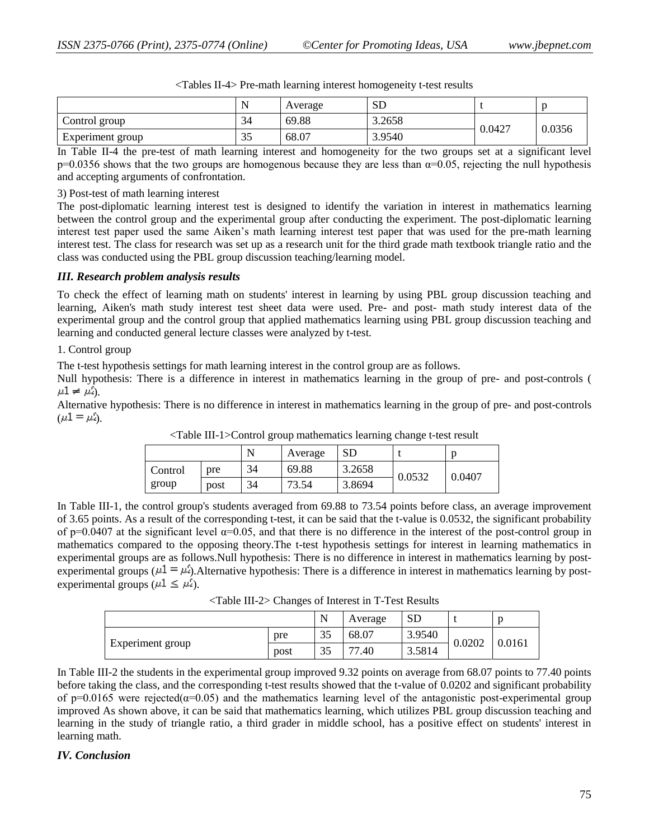|                  | N         | Average | <b>SD</b> |        |        |
|------------------|-----------|---------|-----------|--------|--------|
| Control group    | 34        | 69.88   | 3.2658    |        | 0.0356 |
| Experiment group | 25<br>ر ر | 68.07   | 3.9540    | 0.0427 |        |

|  | <tables ii-4=""> Pre-math learning interest homogeneity t-test results</tables> |  |  |  |
|--|---------------------------------------------------------------------------------|--|--|--|
|--|---------------------------------------------------------------------------------|--|--|--|

In Table II-4 the pre-test of math learning interest and homogeneity for the two groups set at a significant level  $p=0.0356$  shows that the two groups are homogenous because they are less than  $\alpha=0.05$ , rejecting the null hypothesis and accepting arguments of confrontation.

#### 3) Post-test of math learning interest

The post-diplomatic learning interest test is designed to identify the variation in interest in mathematics learning between the control group and the experimental group after conducting the experiment. The post-diplomatic learning interest test paper used the same Aiken's math learning interest test paper that was used for the pre-math learning interest test. The class for research was set up as a research unit for the third grade math textbook triangle ratio and the class was conducted using the PBL group discussion teaching/learning model.

# *III. Research problem analysis results*

To check the effect of learning math on students' interest in learning by using PBL group discussion teaching and learning, Aiken's math study interest test sheet data were used. Pre- and post- math study interest data of the experimental group and the control group that applied mathematics learning using PBL group discussion teaching and learning and conducted general lecture classes were analyzed by t-test.

### 1. Control group

The t-test hypothesis settings for math learning interest in the control group are as follows.

Null hypothesis: There is a difference in interest in mathematics learning in the group of pre- and post-controls (  $\mu 1 \neq \mu 2$ .

Alternative hypothesis: There is no difference in interest in mathematics learning in the group of pre- and post-controls  $(\mu 1 = \mu_2)$ .

|         |      | N  | Average | <b>SD</b> |        |        |
|---------|------|----|---------|-----------|--------|--------|
| Control | pre  | 34 | 69.88   | 3.2658    |        |        |
| group   | post | 34 | 73.54   | 3.8694    | 0.0532 | 0.0407 |

<Table III-1>Control group mathematics learning change t-test result

In Table III-1, the control group's students averaged from 69.88 to 73.54 points before class, an average improvement of 3.65 points. As a result of the corresponding t-test, it can be said that the t-value is 0.0532, the significant probability of p=0.0407 at the significant level  $\alpha$ =0.05, and that there is no difference in the interest of the post-control group in mathematics compared to the opposing theory.The t-test hypothesis settings for interest in learning mathematics in experimental groups are as follows.Null hypothesis: There is no difference in interest in mathematics learning by postexperimental groups ( $\mu$ 1 =  $\mu$ <sup>2</sup>). Alternative hypothesis: There is a difference in interest in mathematics learning by postexperimental groups ( $\mu$ 1  $\leq \mu$ <sup>2</sup>).

<Table III-2> Changes of Interest in T-Test Results

|                         |      | N  | Average    | <b>SD</b> |        |        |
|-------------------------|------|----|------------|-----------|--------|--------|
|                         | pre  | 35 | 68.07      | 3.9540    |        |        |
| <b>Experiment</b> group | post | 35 | 77<br>'.40 | 3.5814    | 0.0202 | 0.0161 |

In Table III-2 the students in the experimental group improved 9.32 points on average from 68.07 points to 77.40 points before taking the class, and the corresponding t-test results showed that the t-value of 0.0202 and significant probability of p=0.0165 were rejected( $\alpha$ =0.05) and the mathematics learning level of the antagonistic post-experimental group improved As shown above, it can be said that mathematics learning, which utilizes PBL group discussion teaching and learning in the study of triangle ratio, a third grader in middle school, has a positive effect on students' interest in learning math.

# *IV. Conclusion*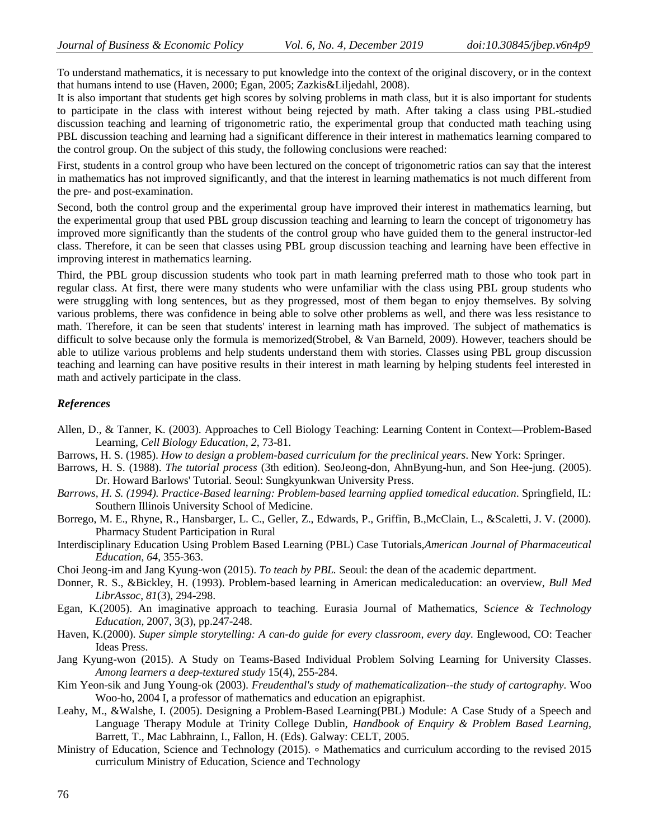To understand mathematics, it is necessary to put knowledge into the context of the original discovery, or in the context that humans intend to use (Haven, 2000; Egan, 2005; Zazkis&Liljedahl, 2008).

It is also important that students get high scores by solving problems in math class, but it is also important for students to participate in the class with interest without being rejected by math. After taking a class using PBL-studied discussion teaching and learning of trigonometric ratio, the experimental group that conducted math teaching using PBL discussion teaching and learning had a significant difference in their interest in mathematics learning compared to the control group. On the subject of this study, the following conclusions were reached:

First, students in a control group who have been lectured on the concept of trigonometric ratios can say that the interest in mathematics has not improved significantly, and that the interest in learning mathematics is not much different from the pre- and post-examination.

Second, both the control group and the experimental group have improved their interest in mathematics learning, but the experimental group that used PBL group discussion teaching and learning to learn the concept of trigonometry has improved more significantly than the students of the control group who have guided them to the general instructor-led class. Therefore, it can be seen that classes using PBL group discussion teaching and learning have been effective in improving interest in mathematics learning.

Third, the PBL group discussion students who took part in math learning preferred math to those who took part in regular class. At first, there were many students who were unfamiliar with the class using PBL group students who were struggling with long sentences, but as they progressed, most of them began to enjoy themselves. By solving various problems, there was confidence in being able to solve other problems as well, and there was less resistance to math. Therefore, it can be seen that students' interest in learning math has improved. The subject of mathematics is difficult to solve because only the formula is memorized(Strobel, & Van Barneld, 2009). However, teachers should be able to utilize various problems and help students understand them with stories. Classes using PBL group discussion teaching and learning can have positive results in their interest in math learning by helping students feel interested in math and actively participate in the class.

### *References*

- Allen, D., & Tanner, K. (2003). Approaches to Cell Biology Teaching: Learning Content in Context—Problem-Based Learning, *Cell Biology Education*, *2*, 73-81.
- Barrows, H. S. (1985). *How to design a problem-based curriculum for the preclinical years*. New York: Springer.
- Barrows, H. S. (1988). *The tutorial process* (3th edition). SeoJeong-don, AhnByung-hun, and Son Hee-jung. (2005). Dr. Howard Barlows' Tutorial. Seoul: Sungkyunkwan University Press.
- *Barrows, H. S. (1994). Practice-Based learning: Problem-based learning applied tomedical education*. Springfield, IL: Southern Illinois University School of Medicine.
- Borrego, M. E., Rhyne, R., Hansbarger, L. C., Geller, Z., Edwards, P., Griffin, B.,McClain, L., &Scaletti, J. V. (2000). Pharmacy Student Participation in Rural
- Interdisciplinary Education Using Problem Based Learning (PBL) Case Tutorials,*American Journal of Pharmaceutical Education*, *64*, 355-363.

Choi Jeong-im and Jang Kyung-won (2015). *To teach by PBL.* Seoul: the dean of the academic department.

- Donner, R. S., &Bickley, H. (1993). Problem-based learning in American medicaleducation: an overview, *Bull Med LibrAssoc*, *81*(3), 294-298.
- Egan, K.(2005). An imaginative approach to teaching. Eurasia Journal of Mathematics, S*cience & Technology Education,* 2007, 3(3), pp.247-248.
- Haven, K.(2000). *Super simple storytelling: A can-do guide for every classroom, every day.* Englewood, CO: Teacher Ideas Press.
- Jang Kyung-won (2015). A Study on Teams-Based Individual Problem Solving Learning for University Classes. *Among learners a deep-textured study* 15(4), 255-284.
- Kim Yeon-sik and Jung Young-ok (2003). *Freudenthal's study of mathematicalization--the study of cartography.* Woo Woo-ho, 2004 I, a professor of mathematics and education an epigraphist.
- Leahy, M., &Walshe, I. (2005). Designing a Problem-Based Learning(PBL) Module: A Case Study of a Speech and Language Therapy Module at Trinity College Dublin, *Handbook of Enquiry & Problem Based Learning*, Barrett, T., Mac Labhrainn, I., Fallon, H. (Eds). Galway: CELT, 2005.
- Ministry of Education, Science and Technology (2015). ∘ Mathematics and curriculum according to the revised 2015 curriculum Ministry of Education, Science and Technology